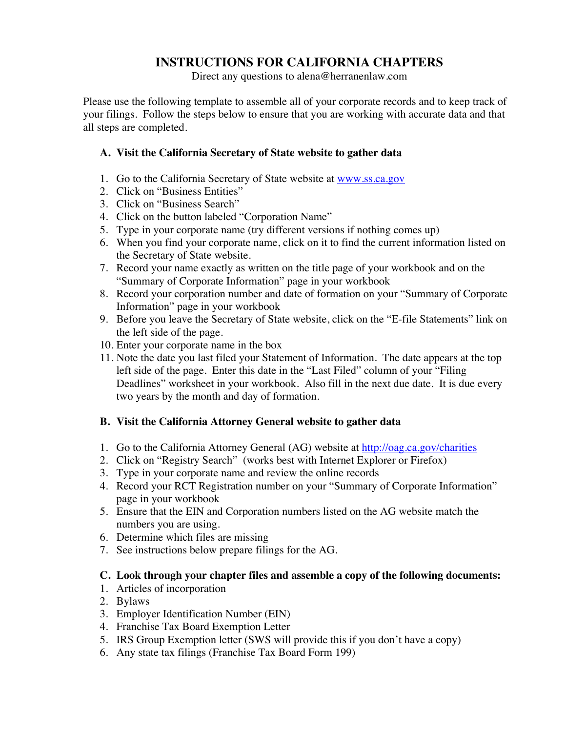#### **INSTRUCTIONS FOR CALIFORNIA CHAPTERS**

Direct any questions to alena@herranenlaw.com

Please use the following template to assemble all of your corporate records and to keep track of your filings. Follow the steps below to ensure that you are working with accurate data and that all steps are completed.

#### **A. Visit the California Secretary of State website to gather data**

- 1. Go to the California Secretary of State website at www.ss.ca.gov
- 2. Click on "Business Entities"
- 3. Click on "Business Search"
- 4. Click on the button labeled "Corporation Name"
- 5. Type in your corporate name (try different versions if nothing comes up)
- 6. When you find your corporate name, click on it to find the current information listed on the Secretary of State website.
- 7. Record your name exactly as written on the title page of your workbook and on the "Summary of Corporate Information" page in your workbook
- 8. Record your corporation number and date of formation on your "Summary of Corporate Information" page in your workbook
- 9. Before you leave the Secretary of State website, click on the "E-file Statements" link on the left side of the page.
- 10. Enter your corporate name in the box
- 11. Note the date you last filed your Statement of Information. The date appears at the top left side of the page. Enter this date in the "Last Filed" column of your "Filing Deadlines" worksheet in your workbook. Also fill in the next due date. It is due every two years by the month and day of formation.

#### **B. Visit the California Attorney General website to gather data**

- 1. Go to the California Attorney General (AG) website at http://oag.ca.gov/charities
- 2. Click on "Registry Search" (works best with Internet Explorer or Firefox)
- 3. Type in your corporate name and review the online records
- 4. Record your RCT Registration number on your "Summary of Corporate Information" page in your workbook
- 5. Ensure that the EIN and Corporation numbers listed on the AG website match the numbers you are using.
- 6. Determine which files are missing
- 7. See instructions below prepare filings for the AG.

#### **C. Look through your chapter files and assemble a copy of the following documents:**

- 1. Articles of incorporation
- 2. Bylaws
- 3. Employer Identification Number (EIN)
- 4. Franchise Tax Board Exemption Letter
- 5. IRS Group Exemption letter (SWS will provide this if you don't have a copy)
- 6. Any state tax filings (Franchise Tax Board Form 199)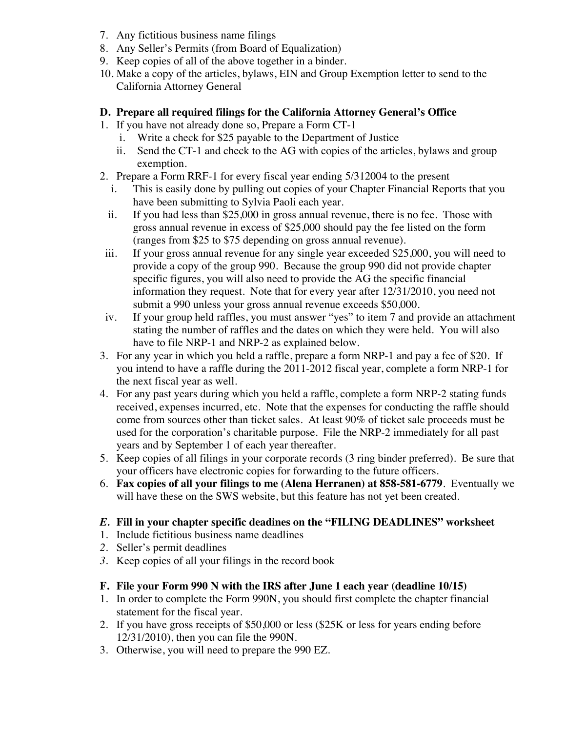- 7. Any fictitious business name filings
- 8. Any Seller's Permits (from Board of Equalization)
- 9. Keep copies of all of the above together in a binder.
- 10. Make a copy of the articles, bylaws, EIN and Group Exemption letter to send to the California Attorney General

#### **D. Prepare all required filings for the California Attorney General's Office**

- 1. If you have not already done so, Prepare a Form CT-1
	- i. Write a check for \$25 payable to the Department of Justice
	- ii. Send the CT-1 and check to the AG with copies of the articles, bylaws and group exemption.
- 2. Prepare a Form RRF-1 for every fiscal year ending 5/312004 to the present
	- i. This is easily done by pulling out copies of your Chapter Financial Reports that you have been submitting to Sylvia Paoli each year.
	- ii. If you had less than \$25,000 in gross annual revenue, there is no fee. Those with gross annual revenue in excess of \$25,000 should pay the fee listed on the form (ranges from \$25 to \$75 depending on gross annual revenue).
- iii. If your gross annual revenue for any single year exceeded \$25,000, you will need to provide a copy of the group 990. Because the group 990 did not provide chapter specific figures, you will also need to provide the AG the specific financial information they request. Note that for every year after 12/31/2010, you need not submit a 990 unless your gross annual revenue exceeds \$50,000.
- iv. If your group held raffles, you must answer "yes" to item 7 and provide an attachment stating the number of raffles and the dates on which they were held. You will also have to file NRP-1 and NRP-2 as explained below.
- 3. For any year in which you held a raffle, prepare a form NRP-1 and pay a fee of \$20. If you intend to have a raffle during the 2011-2012 fiscal year, complete a form NRP-1 for the next fiscal year as well.
- 4. For any past years during which you held a raffle, complete a form NRP-2 stating funds received, expenses incurred, etc. Note that the expenses for conducting the raffle should come from sources other than ticket sales. At least 90% of ticket sale proceeds must be used for the corporation's charitable purpose. File the NRP-2 immediately for all past years and by September 1 of each year thereafter.
- 5. Keep copies of all filings in your corporate records (3 ring binder preferred). Be sure that your officers have electronic copies for forwarding to the future officers.
- 6. **Fax copies of all your filings to me (Alena Herranen) at 858-581-6779**. Eventually we will have these on the SWS website, but this feature has not yet been created.

#### *E.* **Fill in your chapter specific deadines on the "FILING DEADLINES" worksheet**

- 1. Include fictitious business name deadlines
- *2.* Seller's permit deadlines
- *3.* Keep copies of all your filings in the record book

#### **F. File your Form 990 N with the IRS after June 1 each year (deadline 10/15)**

- 1. In order to complete the Form 990N, you should first complete the chapter financial statement for the fiscal year.
- 2. If you have gross receipts of \$50,000 or less (\$25K or less for years ending before 12/31/2010), then you can file the 990N.
- 3. Otherwise, you will need to prepare the 990 EZ.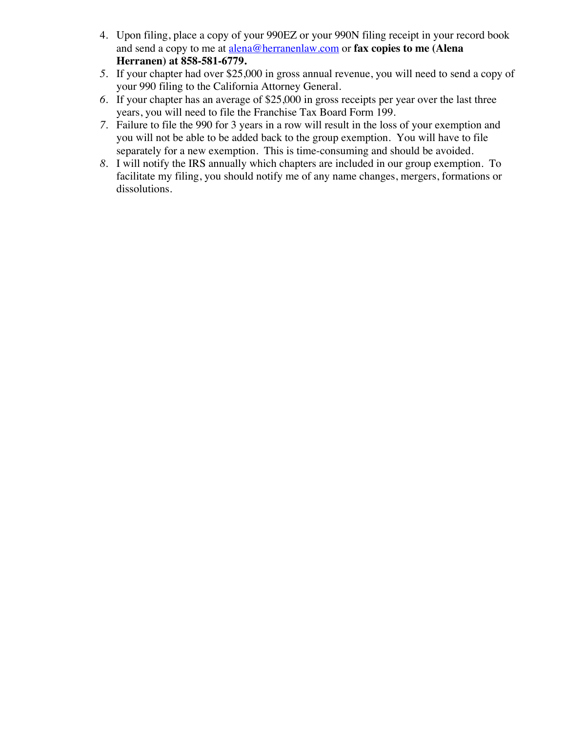- 4. Upon filing, place a copy of your 990EZ or your 990N filing receipt in your record book and send a copy to me at alena@herranenlaw.com or **fax copies to me (Alena Herranen) at 858-581-6779.**
- *5.* If your chapter had over \$25,000 in gross annual revenue, you will need to send a copy of your 990 filing to the California Attorney General.
- *6.* If your chapter has an average of \$25,000 in gross receipts per year over the last three years, you will need to file the Franchise Tax Board Form 199.
- *7.* Failure to file the 990 for 3 years in a row will result in the loss of your exemption and you will not be able to be added back to the group exemption. You will have to file separately for a new exemption. This is time-consuming and should be avoided.
- *8.* I will notify the IRS annually which chapters are included in our group exemption. To facilitate my filing, you should notify me of any name changes, mergers, formations or dissolutions.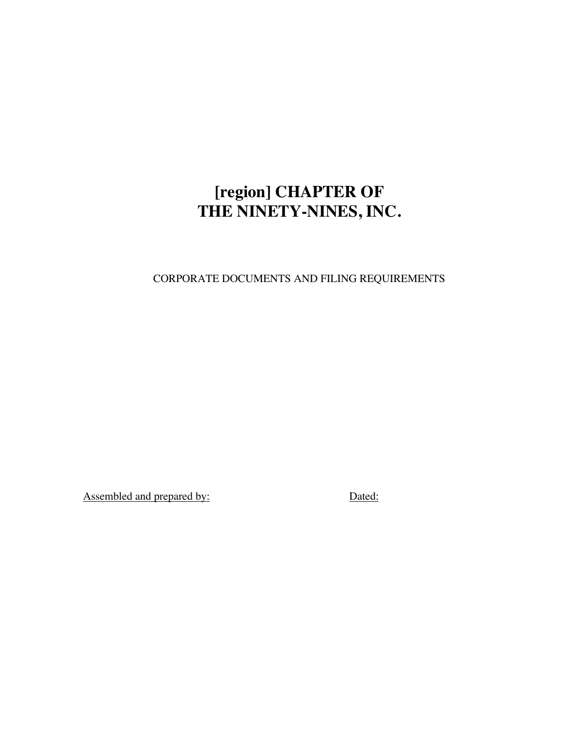# **[region] CHAPTER OF THE NINETY-NINES, INC.**

CORPORATE DOCUMENTS AND FILING REQUIREMENTS

Assembled and prepared by: Dated: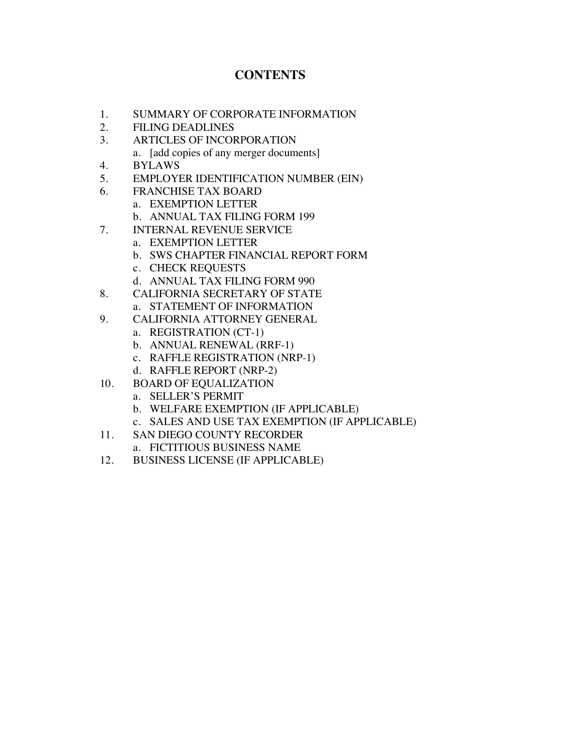#### **CONTENTS**

- 1. SUMMARY OF CORPORATE INFORMATION
- 2. FILING DEADLINES
- 3. ARTICLES OF INCORPORATION
	- a. [add copies of any merger documents]
- 4. BYLAWS
- 5. EMPLOYER IDENTIFICATION NUMBER (EIN)
- 6. FRANCHISE TAX BOARD
	- a. EXEMPTION LETTER
	- b. ANNUAL TAX FILING FORM 199
- 7. INTERNAL REVENUE SERVICE
	- a. EXEMPTION LETTER
	- b. SWS CHAPTER FINANCIAL REPORT FORM
	- c. CHECK REQUESTS
	- d. ANNUAL TAX FILING FORM 990
- 8. CALIFORNIA SECRETARY OF STATE a. STATEMENT OF INFORMATION
- 9. CALIFORNIA ATTORNEY GENERAL
	- a. REGISTRATION (CT-1)
	- b. ANNUAL RENEWAL (RRF-1)
	- c. RAFFLE REGISTRATION (NRP-1)
	- d. RAFFLE REPORT (NRP-2)
- 10. BOARD OF EQUALIZATION
	- a. SELLER'S PERMIT
	- b. WELFARE EXEMPTION (IF APPLICABLE)
	- c. SALES AND USE TAX EXEMPTION (IF APPLICABLE)
- 11. SAN DIEGO COUNTY RECORDER
	- a. FICTITIOUS BUSINESS NAME
- 12. BUSINESS LICENSE (IF APPLICABLE)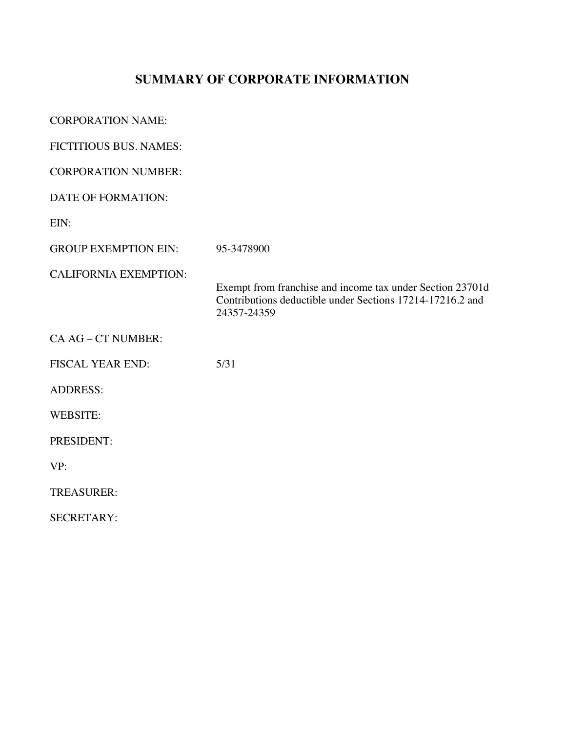# **SUMMARY OF CORPORATE INFORMATION**

| <b>CORPORATION NAME:</b>     |                                                                                                                                       |
|------------------------------|---------------------------------------------------------------------------------------------------------------------------------------|
| FICTITIOUS BUS. NAMES:       |                                                                                                                                       |
| <b>CORPORATION NUMBER:</b>   |                                                                                                                                       |
| <b>DATE OF FORMATION:</b>    |                                                                                                                                       |
| EIN:                         |                                                                                                                                       |
| <b>GROUP EXEMPTION EIN:</b>  | 95-3478900                                                                                                                            |
| <b>CALIFORNIA EXEMPTION:</b> | Exempt from franchise and income tax under Section 23701d<br>Contributions deductible under Sections 17214-17216.2 and<br>24357-24359 |
| CA AG - CT NUMBER:           |                                                                                                                                       |
| <b>FISCAL YEAR END:</b>      | 5/31                                                                                                                                  |
| <b>ADDRESS:</b>              |                                                                                                                                       |
| <b>WEBSITE:</b>              |                                                                                                                                       |
| PRESIDENT:                   |                                                                                                                                       |
| VP:                          |                                                                                                                                       |
| <b>TREASURER:</b>            |                                                                                                                                       |
| <b>SECRETARY:</b>            |                                                                                                                                       |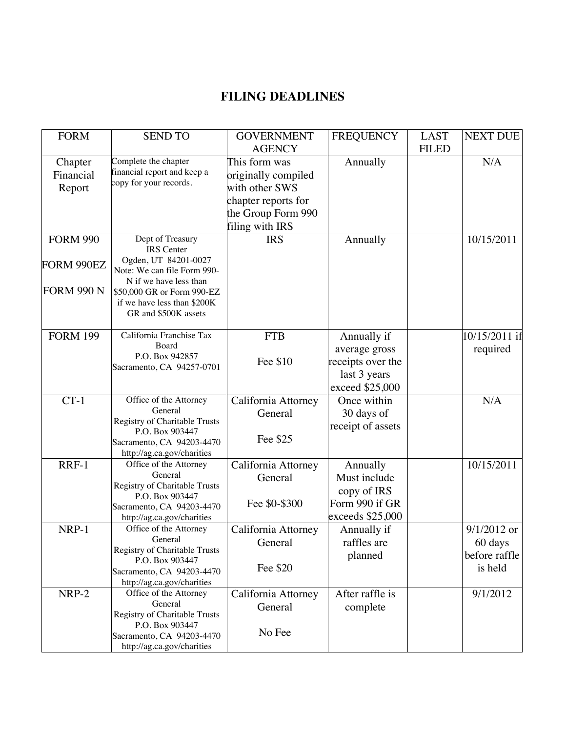## **FILING DEADLINES**

| <b>FORM</b>       | <b>SEND TO</b>                                       | <b>GOVERNMENT</b>   | <b>FREQUENCY</b>  | <b>LAST</b>  | <b>NEXT DUE</b> |
|-------------------|------------------------------------------------------|---------------------|-------------------|--------------|-----------------|
|                   |                                                      | <b>AGENCY</b>       |                   | <b>FILED</b> |                 |
| Chapter           | Complete the chapter                                 | This form was       | Annually          |              | N/A             |
| Financial         | financial report and keep a                          | originally compiled |                   |              |                 |
| Report            | copy for your records.                               | with other SWS      |                   |              |                 |
|                   |                                                      | chapter reports for |                   |              |                 |
|                   |                                                      | the Group Form 990  |                   |              |                 |
|                   |                                                      | filing with IRS     |                   |              |                 |
| <b>FORM 990</b>   | Dept of Treasury                                     | <b>IRS</b>          |                   |              | 10/15/2011      |
|                   | <b>IRS</b> Center                                    |                     | Annually          |              |                 |
|                   | Ogden, UT 84201-0027                                 |                     |                   |              |                 |
| FORM 990EZ        | Note: We can file Form 990-                          |                     |                   |              |                 |
|                   | N if we have less than                               |                     |                   |              |                 |
| <b>FORM 990 N</b> | \$50,000 GR or Form 990-EZ                           |                     |                   |              |                 |
|                   | if we have less than \$200K                          |                     |                   |              |                 |
|                   | GR and \$500K assets                                 |                     |                   |              |                 |
| <b>FORM 199</b>   | California Franchise Tax                             | <b>FTB</b>          | Annually if       |              | 10/15/2011 if   |
|                   | Board                                                |                     |                   |              |                 |
|                   | P.O. Box 942857                                      |                     | average gross     |              | required        |
|                   | Sacramento, CA 94257-0701                            | Fee \$10            | receipts over the |              |                 |
|                   |                                                      |                     | last 3 years      |              |                 |
|                   |                                                      |                     | exceed \$25,000   |              |                 |
| $CT-1$            | Office of the Attorney                               | California Attorney | Once within       |              | N/A             |
|                   | General                                              | General             | 30 days of        |              |                 |
|                   | Registry of Charitable Trusts                        |                     | receipt of assets |              |                 |
|                   | P.O. Box 903447                                      | Fee \$25            |                   |              |                 |
|                   | Sacramento, CA 94203-4470                            |                     |                   |              |                 |
| RRF-1             | http://ag.ca.gov/charities<br>Office of the Attorney |                     |                   |              | 10/15/2011      |
|                   | General                                              | California Attorney | Annually          |              |                 |
|                   | Registry of Charitable Trusts                        | General             | Must include      |              |                 |
|                   | P.O. Box 903447                                      |                     | copy of IRS       |              |                 |
|                   | Sacramento, CA 94203-4470                            | Fee \$0-\$300       | Form 990 if GR    |              |                 |
|                   | http://ag.ca.gov/charities                           |                     | exceeds \$25,000  |              |                 |
| NRP-1             | Office of the Attorney                               | California Attorney | Annually if       |              | $9/1/2012$ or   |
|                   | General                                              | General             | raffles are       |              | 60 days         |
|                   | Registry of Charitable Trusts                        |                     | planned           |              | before raffle   |
|                   | P.O. Box 903447                                      | Fee \$20            |                   |              | is held         |
|                   | Sacramento, CA 94203-4470                            |                     |                   |              |                 |
|                   | http://ag.ca.gov/charities                           |                     |                   |              |                 |
| NRP-2             | Office of the Attorney<br>General                    | California Attorney | After raffle is   |              | 9/1/2012        |
|                   | Registry of Charitable Trusts                        | General             | complete          |              |                 |
|                   | P.O. Box 903447                                      |                     |                   |              |                 |
|                   | Sacramento, CA 94203-4470                            | No Fee              |                   |              |                 |
|                   | http://ag.ca.gov/charities                           |                     |                   |              |                 |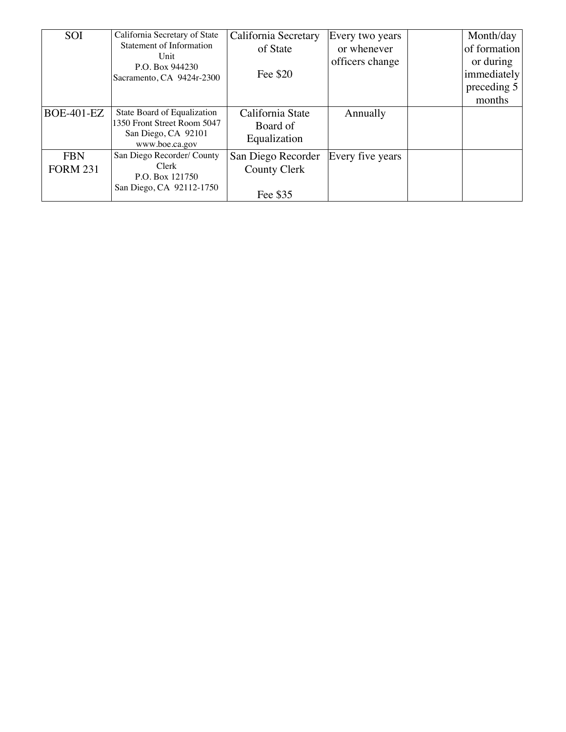| <b>SOI</b>        | California Secretary of State         | California Secretary | Every two years  | Month/day    |
|-------------------|---------------------------------------|----------------------|------------------|--------------|
|                   | <b>Statement of Information</b>       | of State             | or whenever      | of formation |
|                   | Unit<br>P.O. Box 944230               |                      | officers change  | or during    |
|                   | Sacramento, CA 9424r-2300             | Fee \$20             |                  | immediately  |
|                   |                                       |                      |                  | preceding 5  |
|                   |                                       |                      |                  | months       |
| <b>BOE-401-EZ</b> | State Board of Equalization           | California State     | Annually         |              |
|                   | 1350 Front Street Room 5047           | Board of             |                  |              |
|                   | San Diego, CA 92101<br>www.boe.ca.gov | Equalization         |                  |              |
| <b>FBN</b>        | San Diego Recorder/ County            | San Diego Recorder   | Every five years |              |
| <b>FORM 231</b>   | Clerk                                 | <b>County Clerk</b>  |                  |              |
|                   | P.O. Box 121750                       |                      |                  |              |
|                   | San Diego, CA 92112-1750              | Fee \$35             |                  |              |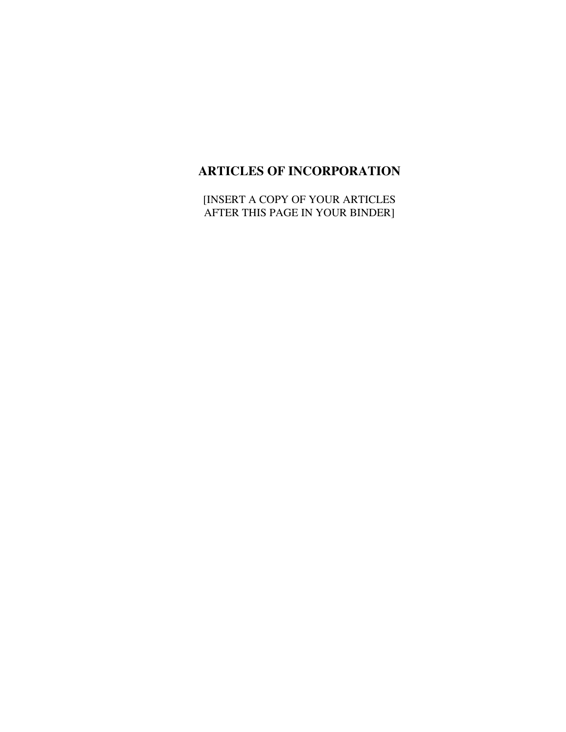## **ARTICLES OF INCORPORATION**

[INSERT A COPY OF YOUR ARTICLES AFTER THIS PAGE IN YOUR BINDER]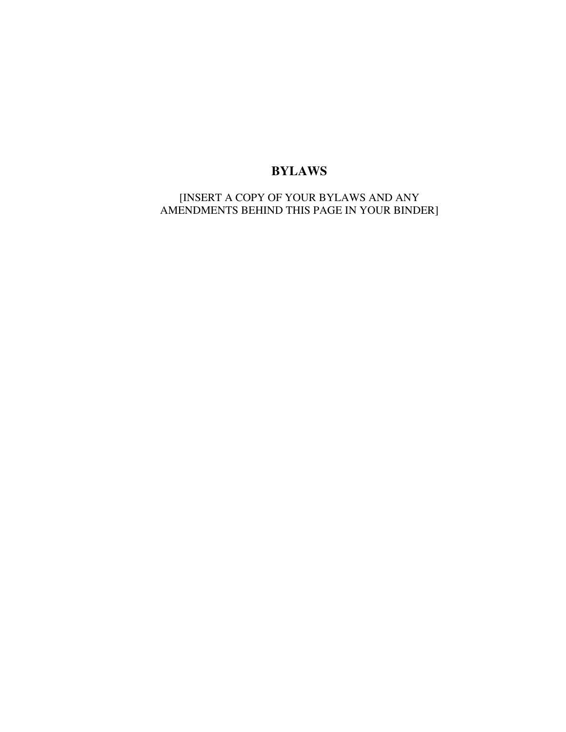#### **BYLAWS**

[INSERT A COPY OF YOUR BYLAWS AND ANY AMENDMENTS BEHIND THIS PAGE IN YOUR BINDER]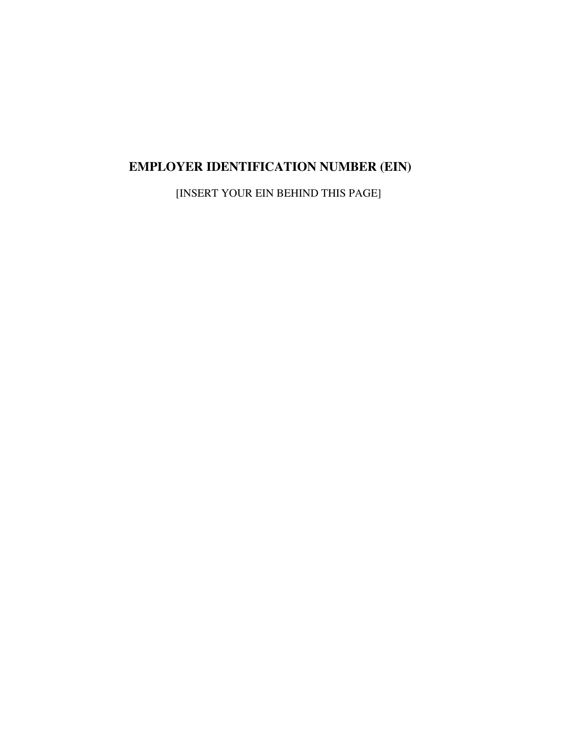# **EMPLOYER IDENTIFICATION NUMBER (EIN)**

[INSERT YOUR EIN BEHIND THIS PAGE]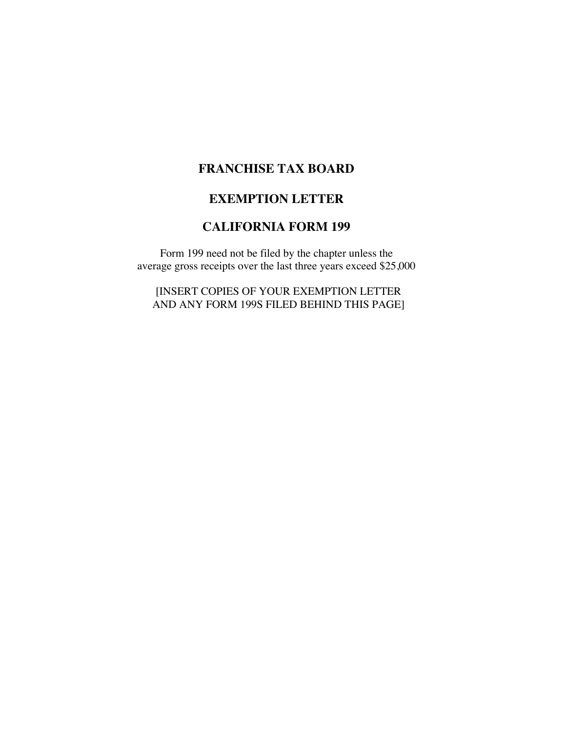#### **FRANCHISE TAX BOARD**

#### **EXEMPTION LETTER**

#### **CALIFORNIA FORM 199**

Form 199 need not be filed by the chapter unless the average gross receipts over the last three years exceed \$25,000

[INSERT COPIES OF YOUR EXEMPTION LETTER AND ANY FORM 199S FILED BEHIND THIS PAGE]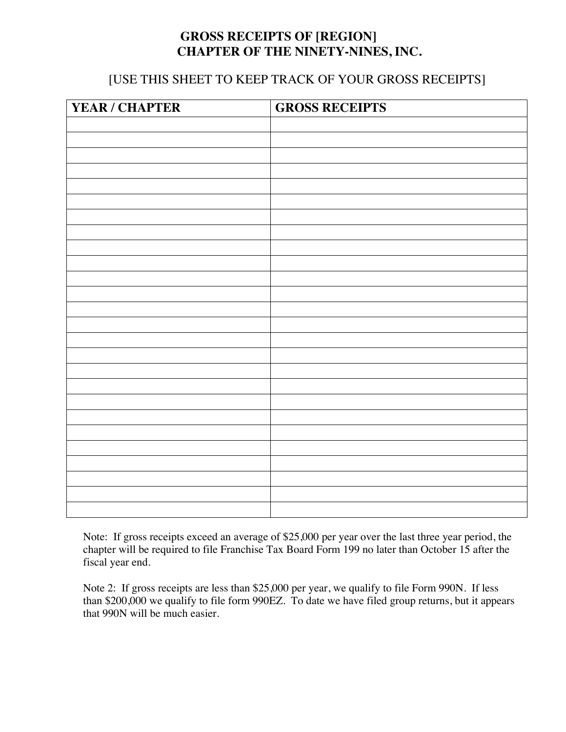#### **GROSS RECEIPTS OF [REGION] CHAPTER OF THE NINETY-NINES, INC.**

#### [USE THIS SHEET TO KEEP TRACK OF YOUR GROSS RECEIPTS]

| YEAR / CHAPTER | <b>GROSS RECEIPTS</b> |
|----------------|-----------------------|
|                |                       |
|                |                       |
|                |                       |
|                |                       |
|                |                       |
|                |                       |
|                |                       |
|                |                       |
|                |                       |
|                |                       |
|                |                       |
|                |                       |
|                |                       |
|                |                       |
|                |                       |
|                |                       |
|                |                       |
|                |                       |
|                |                       |
|                |                       |
|                |                       |
|                |                       |
|                |                       |
|                |                       |
|                |                       |
|                |                       |

Note: If gross receipts exceed an average of \$25,000 per year over the last three year period, the chapter will be required to file Franchise Tax Board Form 199 no later than October 15 after the fiscal year end.

Note 2: If gross receipts are less than \$25,000 per year, we qualify to file Form 990N. If less than \$200,000 we qualify to file form 990EZ. To date we have filed group returns, but it appears that 990N will be much easier.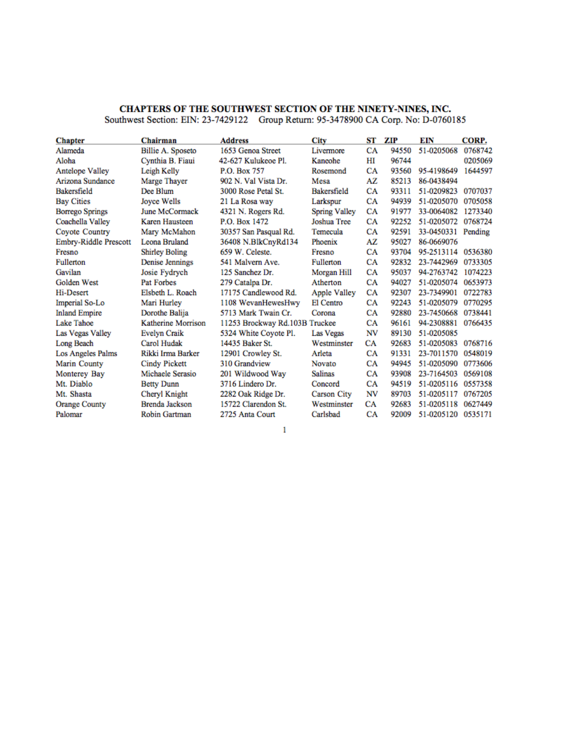# CHAPTERS OF THE SOUTHWEST SECTION OF THE NINETY-NINES, INC.<br>Southwest Section: EIN: 23-7429122 Group Return: 95-3478900 CA Corp. No: D-0760185

| <b>Chapter</b>         | Chairman              | <b>Address</b>                 | City                 | ST | ZIP   | EIN        | CORP.   |
|------------------------|-----------------------|--------------------------------|----------------------|----|-------|------------|---------|
| Alameda                | Billie A. Sposeto     | 1653 Genoa Street              | Livermore            | СA | 94550 | 51-0205068 | 0768742 |
| Aloha                  | Cynthia B. Fiaui      | 42-627 Kulukeoe Pl.            | Kaneohe              | HІ | 96744 |            | 0205069 |
| <b>Antelope Valley</b> | Leigh Kelly           | P.O. Box 757                   | Rosemond             | СA | 93560 | 95-4198649 | 1644597 |
| Arizona Sundance       | Marge Thayer          | 902 N. Val Vista Dr.           | Mesa                 | ΑZ | 85213 | 86-0438494 |         |
| <b>Bakersfield</b>     | Dee Blum              | 3000 Rose Petal St.            | Bakersfield          | СA | 93311 | 51-0209823 | 0707037 |
| <b>Bay Cities</b>      | Jovce Wells           | 21 La Rosa way                 | Larkspur             | СA | 94939 | 51-0205070 | 0705058 |
| <b>Borrego Springs</b> | June McCormack        | 4321 N. Rogers Rd.             | <b>Spring Valley</b> | CA | 91977 | 33-0064082 | 1273340 |
| Coachella Valley       | Karen Hausteen        | P.O. Box 1472                  | <b>Joshua Tree</b>   | СA | 92252 | 51-0205072 | 0768724 |
| Coyote Country         | Mary McMahon          | 30357 San Pasqual Rd.          | Temecula             | CA | 92591 | 33-0450331 | Pending |
| Embry-Riddle Prescott  | Leona Bruland         | 36408 N.BlkCnyRd134            | Phoenix              | AZ | 95027 | 86-0669076 |         |
| Fresno                 | <b>Shirley Boling</b> | 659 W. Celeste.                | Fresno               | СA | 93704 | 95-2513114 | 0536380 |
| <b>Fullerton</b>       | Denise Jennings       | 541 Malvern Ave.               | <b>Fullerton</b>     | СA | 92832 | 23-7442969 | 0733305 |
| Gavilan                | Josie Fydrych         | 125 Sanchez Dr.                | Morgan Hill          | CA | 95037 | 94-2763742 | 1074223 |
| <b>Golden West</b>     | <b>Pat Forbes</b>     | 279 Catalpa Dr.                | Atherton             | CA | 94027 | 51-0205074 | 0653973 |
| Hi-Desert              | Elsbeth L. Roach      | 17175 Candlewood Rd.           | <b>Apple Valley</b>  | СA | 92307 | 23-7349901 | 0722783 |
| Imperial So-Lo         | Mari Hurley           | 1108 WevanHewesHwy             | El Centro            | СA | 92243 | 51-0205079 | 0770295 |
| <b>Inland Empire</b>   | Dorothe Baliia        | 5713 Mark Twain Cr.            | Corona               | СA | 92880 | 23-7450668 | 0738441 |
| Lake Tahoe             | Katherine Morrison    | 11253 Brockway Rd.103B Truckee |                      | CA | 96161 | 94-2308881 | 0766435 |
| Las Vegas Valley       | Evelyn Craik          | 5324 White Covote Pl.          | <b>Las Vegas</b>     | NV | 89130 | 51-0205085 |         |
| Long Beach             | Carol Hudak           | 14435 Baker St.                | Westminster          | СA | 92683 | 51-0205083 | 0768716 |
| Los Angeles Palms      | Rikki Irma Barker     | 12901 Crowley St.              | Arleta               | СA | 91331 | 23-7011570 | 0548019 |
| Marin County           | <b>Cindy Pickett</b>  | 310 Grandview                  | <b>Novato</b>        | CA | 94945 | 51-0205090 | 0773606 |
| Monterey Bay           | Michaele Serasio      | 201 Wildwood Way               | <b>Salinas</b>       | СA | 93908 | 23-7164503 | 0569108 |
| Mt. Diablo             | <b>Betty Dunn</b>     | 3716 Lindero Dr.               | Concord              | СA | 94519 | 51-0205116 | 0557358 |
| Mt. Shasta             | Cheryl Knight         | 2282 Oak Ridge Dr.             | <b>Carson City</b>   | NV | 89703 | 51-0205117 | 0767205 |
| <b>Orange County</b>   | Brenda Jackson        | 15722 Clarendon St.            | Westminster          | CA | 92683 | 51-0205118 | 0627449 |
| Palomar                | Robin Gartman         | 2725 Anta Court                | Carlsbad             | CA | 92009 | 51-0205120 | 0535171 |

 $\mathbf{1}$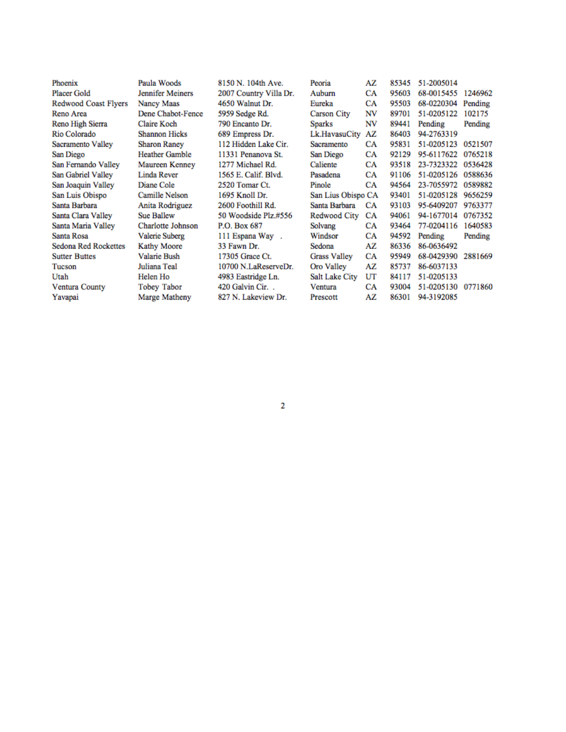| Phoenix              | Paula Woods           | 8150 N. 104th Ave.     | Peoria              | AZ | 85345 | 51-2005014 |         |
|----------------------|-----------------------|------------------------|---------------------|----|-------|------------|---------|
| <b>Placer Gold</b>   | Jennifer Meiners      | 2007 Country Villa Dr. | Auburn              | CA | 95603 | 68-0015455 | 1246962 |
| Redwood Coast Flyers | Nancy Maas            | 4650 Walnut Dr.        | Eureka              | CA | 95503 | 68-0220304 | Pending |
| Reno Area            | Dene Chabot-Fence     | 5959 Sedge Rd.         | <b>Carson City</b>  | NV | 89701 | 51-0205122 | 102175  |
| Reno High Sierra     | Claire Koch           | 790 Encanto Dr.        | <b>Sparks</b>       | NV | 89441 | Pending    | Pending |
| Rio Colorado         | <b>Shannon Hicks</b>  | 689 Empress Dr.        | Lk.HavasuCity       | AZ | 86403 | 94-2763319 |         |
| Sacramento Valley    | <b>Sharon Raney</b>   | 112 Hidden Lake Cir.   | Sacramento          | CA | 95831 | 51-0205123 | 0521507 |
| San Diego            | <b>Heather Gamble</b> | 11331 Penanova St.     | San Diego           | CA | 92129 | 95-6117622 | 0765218 |
| San Fernando Valley  | Maureen Kenney        | 1277 Michael Rd.       | Caliente            | CA | 93518 | 23-7323322 | 0536428 |
| San Gabriel Valley   | Linda Rever           | 1565 E. Calif. Blvd.   | Pasadena            | CA | 91106 | 51-0205126 | 0588636 |
| San Joaquin Valley   | Diane Cole            | 2520 Tomar Ct.         | Pinole              | CA | 94564 | 23-7055972 | 0589882 |
| San Luis Obispo      | Camille Nelson        | 1695 Knoll Dr.         | San Lius Obispo CA  |    | 93401 | 51-0205128 | 9656259 |
| Santa Barbara        | Anita Rodriguez       | 2600 Foothill Rd.      | Santa Barbara       | CA | 93103 | 95-6409207 | 9763377 |
| Santa Clara Valley   | <b>Sue Ballew</b>     | 50 Woodside Plz.#556   | Redwood City        | CA | 94061 | 94-1677014 | 0767352 |
| Santa Maria Valley   | Charlotte Johnson     | P.O. Box 687           | Solvang             | CA | 93464 | 77-0204116 | 1640583 |
| Santa Rosa           | <b>Valerie Suberg</b> | 111 Espana Way.        | Windsor             | CA | 94592 | Pending    | Pending |
| Sedona Red Rockettes | <b>Kathy Moore</b>    | 33 Fawn Dr.            | Sedona              | AZ | 86336 | 86-0636492 |         |
| <b>Sutter Buttes</b> | <b>Valarie Bush</b>   | 17305 Grace Ct.        | <b>Grass Valley</b> | CA | 95949 | 68-0429390 | 2881669 |
| Tucson               | Juliana Teal          | 10700 N.LaReserveDr.   | Oro Valley          | AZ | 85737 | 86-6037133 |         |
| Utah                 | Helen Ho              | 4983 Eastridge Ln.     | Salt Lake City      | UT | 84117 | 51-0205133 |         |
| Ventura County       | Tobey Tabor           | 420 Galvin Cir         | Ventura             | CA | 93004 | 51-0205130 | 0771860 |
| Yavapai              | Marge Matheny         | 827 N. Lakeview Dr.    | Prescott            | AZ | 86301 | 94-3192085 |         |
|                      |                       |                        |                     |    |       |            |         |

 $\mathbf 2$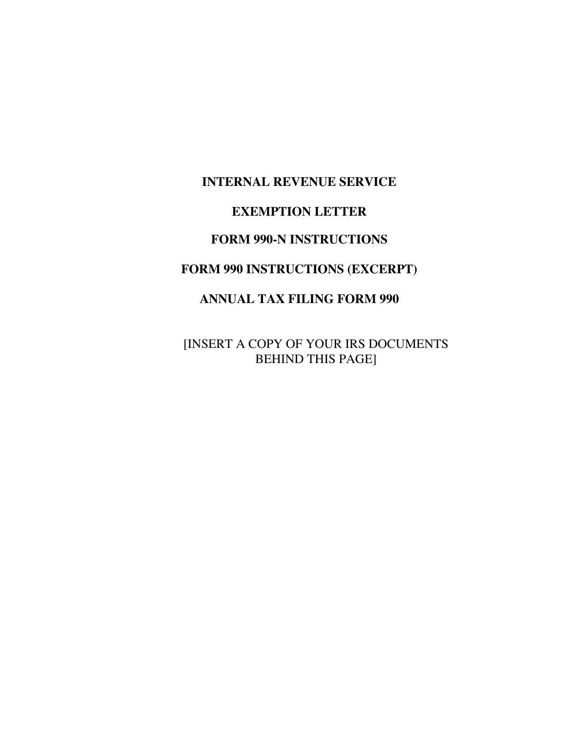#### **INTERNAL REVENUE SERVICE**

#### **EXEMPTION LETTER**

#### **FORM 990-N INSTRUCTIONS**

#### **FORM 990 INSTRUCTIONS (EXCERPT)**

#### **ANNUAL TAX FILING FORM 990**

[INSERT A COPY OF YOUR IRS DOCUMENTS BEHIND THIS PAGE]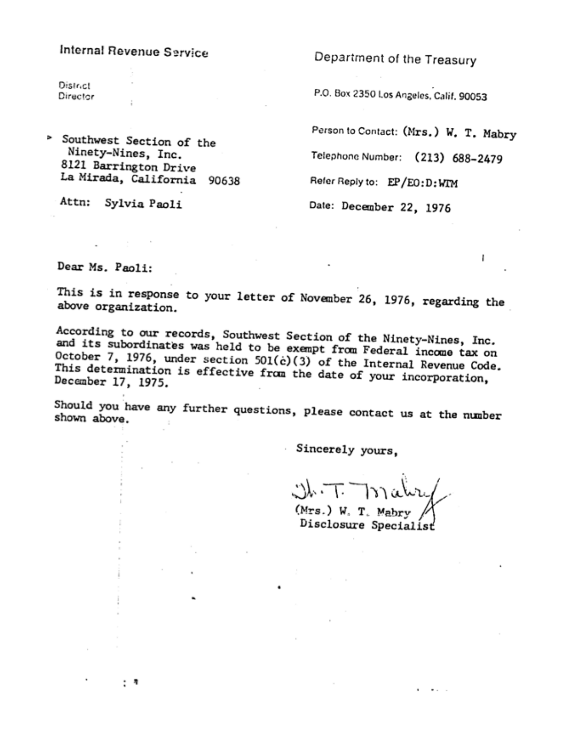#### Internal Revenue Service

**District** Director

> Southwest Section of the Ninety-Nines, Inc. 8121 Barrington Drive La Mirada, California 90638

Attn: Sylvia Paoli

: \*

Department of the Treasury

P.O. Box 2350 Los Angeles, Calif. 90053

Person to Contact: (Mrs.) W. T. Mabry

J.

Telephone Number: (213) 688-2479

Refer Reply to: EP/EO: D: WIM

Date: December 22, 1976

Dear Ms. Paoli:

This is in response to your letter of November 26, 1976, regarding the above organization.

According to our records, Southwest Section of the Ninety-Nines, Inc. and its subordinates was held to be exempt from Federal income tax on October 7, 1976, under section 501(c)(3) of the Internal Revenue Code. This determination is effective from the date of your incorporation, December 17, 1975.

Should you have any further questions, please contact us at the number shown above.

Sincerely yours,

(Mrs.) W. T. Mabry Disclosure Specialist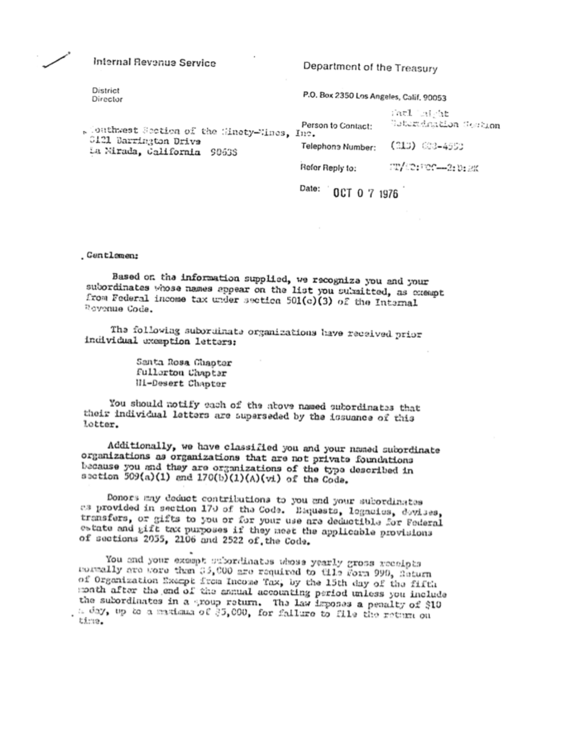Internal Revenue Service

Department of the Treasury

District Director

P.O. Box 2350 Los Angeles, Calif. 90053

| . Conthwest Section of the Sinety-Mines, Inc.        | Person to Contact: | anti laight<br>Colordeation Section |
|------------------------------------------------------|--------------------|-------------------------------------|
| 0121 Barrington Drive<br>La Mirada, California 90638 | Telephone Number:  | (313) 603–4550                      |
|                                                      | Refer Reply to:    | 21/10:300-2:012K                    |

Date: 0CT 0 7 1976

. Gentlamen:

Based on the information supplied, we recognize you and your subordinates whose names appear on the list you surmitted, as exempt from Federal income tax under section 501(c)(3) of the Internal Rovenue Code.

The following subordinate organizations have received prior individual exemption letters:

> Santa Rosa Chapter Fullorton Chapter III-Desert Chapter

You should notify each of the above named subordinates that their individual letters are superseded by the issuance of this lotter.

Additionally, we have classified you and your named subordinate organizations as organizations that are not private foundations because you and they are organizations of the type described in section 509(a)(1) and 170(b)(1)(A)(vi) of the Code.

Donors may deduct contributions to you and your subordinates as provided in section 170 of the Code. Baquests, logacies, devises, transfers, or gifts to you or for your use are deductible for Federal estate and gift tax purposes if they neet the applicable provisions of sections 2055, 2106 and 2522 of the Code.

You and your exampt subordinates whose yearly gross receipts rommally are wore than 35,000 are required to tile Form 999, Return of Organization Except from Income Tax, by the 15th day of the fifth month after the end of the annual accounting period unless you include the subordinates in a group return. The law imposes a penalty of \$10 t day, up to a maximum of \$5,000, for failure to file the return on time.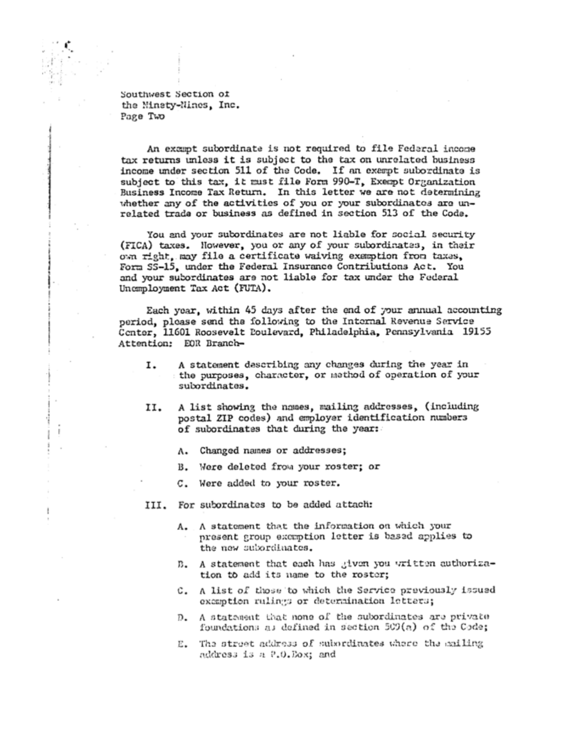Southwest Section of the Minsty-Nines, Inc. Page Two

An exampt subordinate is not required to file Federal income tax returns unless it is subject to the tax on unrelated business income under section 511 of the Code. If an exempt subordinate is subject to this tax, it must file Form 990-T, Exempt Organization Business Income Tax Return. In this letter we are not determining whether any of the activities of you or your subordinates are unrelated trade or business as defined in section 513 of the Code.

You and your subordinates are not liable for social security (FICA) taxes. However, you or any of your subordinates, in their own right, may file a certificate waiving exemption from taxes. Form SS-15, under the Federal Insurance Contributions Act. You and your subordinates are not liable for tax under the Federal Unamployment Tax Act (FUTA).

Each year, within 45 days after the end of your annual accounting period, please send the following to the Internal Revenue Service Center, 11601 Roosevelt Doulevard, Philadelphia, Pennsylvania 19155 Attention: EOR Branch-

- A statement describing any changes during the year in 1. the purposes, character, or method of operation of your subordinates.
- A list showing the names, mailing addresses, (including 11. postal ZIP codes) and employer identification numbers of subordinates that during the year:
	- A. Changed names or addresses;
	- B. Were deleted from your roster; or
	- C. Were added to your roster.
- III. For subordinates to be added attach:

t

- A. A statement that the information on which your present group excuption letter is based applies to the new subordinates.
- B. A statement that each has given you written authorization to add its name to the roster;
- C. A list of those to which the Service previously issued exemption rulings or determination letters;
- D. A statement that none of the subordinates are private foundations as defined in section 509(a) of the Code;
- E. The street address of subscrimates where the mailing address is a P.O.Dox; and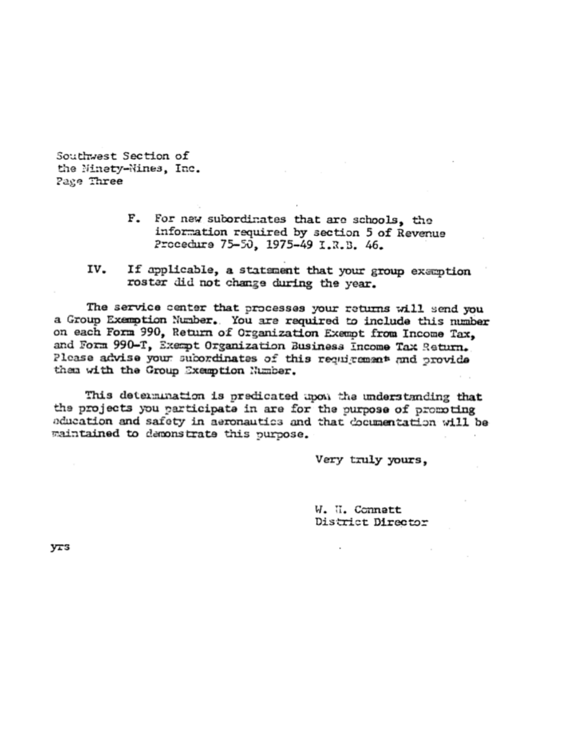Southwest Section of the Minety-Nines, Inc. Page Three

- F. For new subordinates that are schools, the information required by section 5 of Revenue Procedure 75-50, 1975-49 I.R.B. 46.
- IV. If applicable, a statement that your group exemption roster did not change during the year.

The service center that processes your returns will send you a Group Exemption Number. You are required to include this number on each Form 990, Return of Organization Exempt from Income Tax, and Form 990-T, Exempt Organization Business Income Tax Return. Please advise your sucordinates of this requirement and provide them with the Group Exemption Number.

This determination is predicated upon the understanding that the projects you participate in are for the purpose of promoting education and safety in aeronautics and that documentation will be maintained to demonstrate this purpose.

Very truly yours,

W. U. Connett District Director

yrs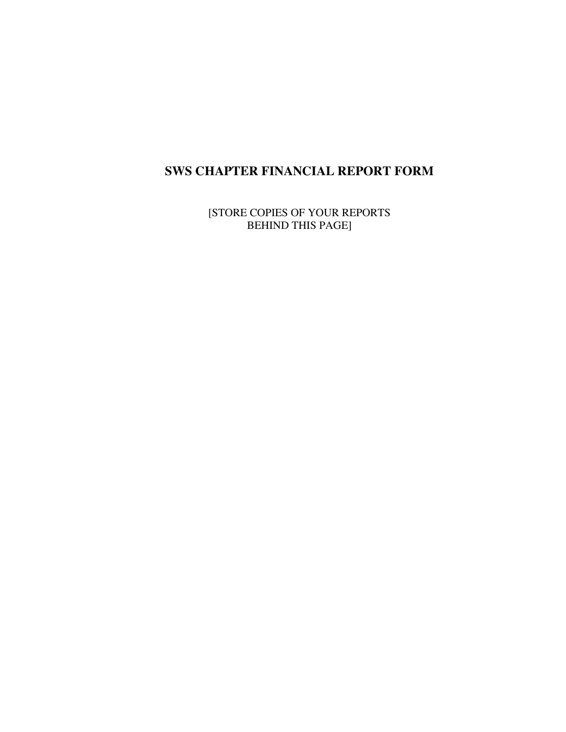## **SWS CHAPTER FINANCIAL REPORT FORM**

[STORE COPIES OF YOUR REPORTS BEHIND THIS PAGE]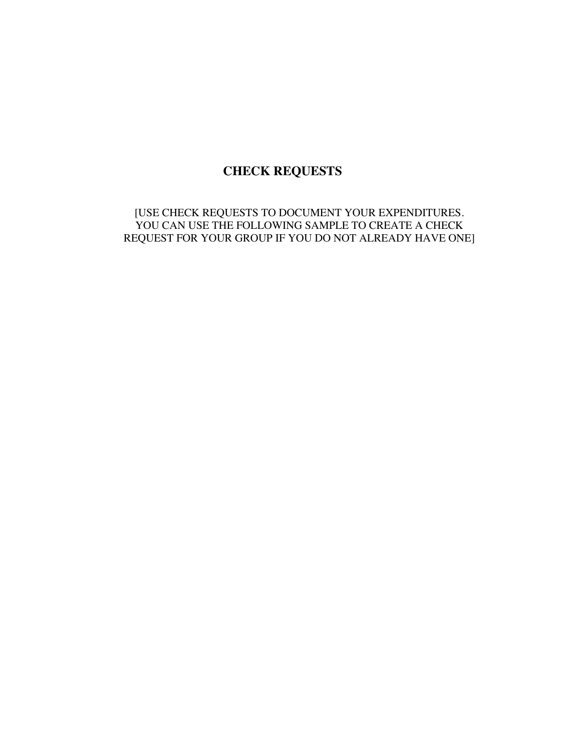#### **CHECK REQUESTS**

[USE CHECK REQUESTS TO DOCUMENT YOUR EXPENDITURES. YOU CAN USE THE FOLLOWING SAMPLE TO CREATE A CHECK REQUEST FOR YOUR GROUP IF YOU DO NOT ALREADY HAVE ONE]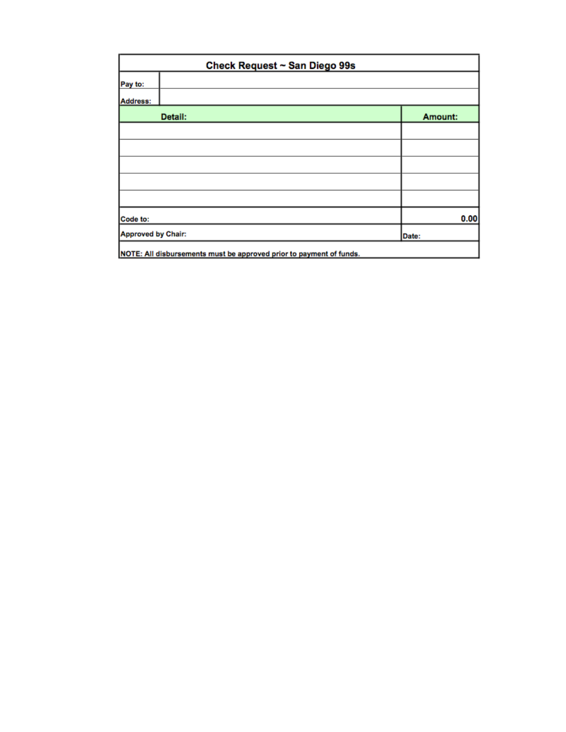| Check Request ~ San Diego 99s                                       |         |  |  |
|---------------------------------------------------------------------|---------|--|--|
| Pay to:                                                             |         |  |  |
| Address:                                                            |         |  |  |
| Detail:                                                             | Amount: |  |  |
|                                                                     |         |  |  |
|                                                                     |         |  |  |
|                                                                     |         |  |  |
|                                                                     |         |  |  |
|                                                                     |         |  |  |
| Code to:                                                            | 0.00    |  |  |
| Approved by Chair:                                                  | Date:   |  |  |
| NOTE: All disbursements must be approved prior to payment of funds. |         |  |  |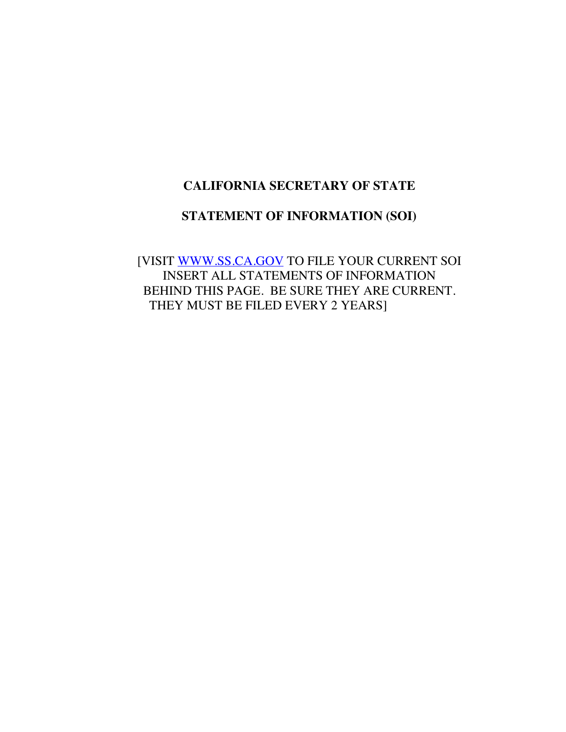#### **CALIFORNIA SECRETARY OF STATE**

#### **STATEMENT OF INFORMATION (SOI)**

[VISIT WWW.SS.CA.GOV TO FILE YOUR CURRENT SOI INSERT ALL STATEMENTS OF INFORMATION BEHIND THIS PAGE. BE SURE THEY ARE CURRENT. THEY MUST BE FILED EVERY 2 YEARS]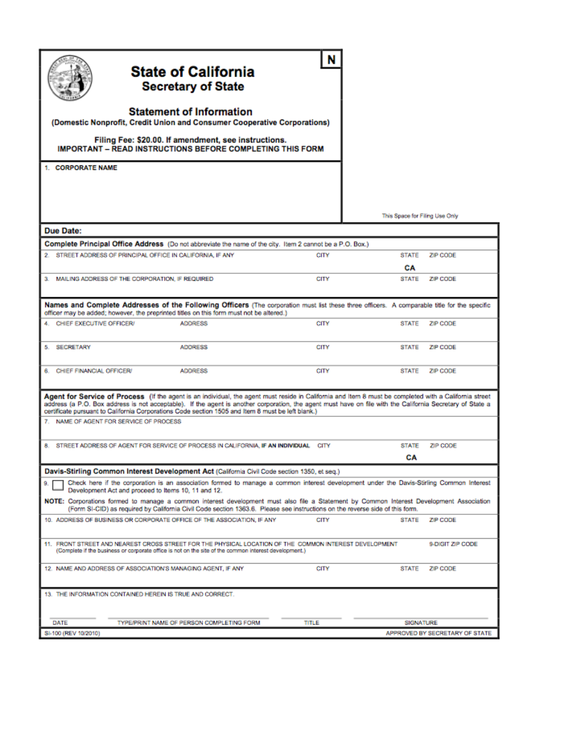| (Domestic Nonprofit, Credit Union and Consumer Cooperative Corporations)<br><b>IMPORTANT - READ INSTRUCTIONS BEFORE COMPLETING THIS FORM</b><br>1. CORPORATE NAME                                                                                                                                                                                                                                                        | <b>State of California</b><br><b>Secretary of State</b><br><b>Statement of Information</b><br>Filing Fee: \$20.00. If amendment, see instructions. |             |                                |                                |
|--------------------------------------------------------------------------------------------------------------------------------------------------------------------------------------------------------------------------------------------------------------------------------------------------------------------------------------------------------------------------------------------------------------------------|----------------------------------------------------------------------------------------------------------------------------------------------------|-------------|--------------------------------|--------------------------------|
|                                                                                                                                                                                                                                                                                                                                                                                                                          |                                                                                                                                                    |             | This Space for Filing Use Only |                                |
| <b>Due Date:</b>                                                                                                                                                                                                                                                                                                                                                                                                         |                                                                                                                                                    |             |                                |                                |
| Complete Principal Office Address (Do not abbreviate the name of the city. Item 2 cannot be a P.O. Box.)                                                                                                                                                                                                                                                                                                                 |                                                                                                                                                    |             |                                |                                |
| 2. STREET ADDRESS OF PRINCIPAL OFFICE IN CALIFORNIA, IF ANY                                                                                                                                                                                                                                                                                                                                                              |                                                                                                                                                    | CITY        | <b>STATE</b>                   | ZIP CODE                       |
|                                                                                                                                                                                                                                                                                                                                                                                                                          |                                                                                                                                                    |             | CA                             |                                |
| 3. MAILING ADDRESS OF THE CORPORATION. IF REQUIRED                                                                                                                                                                                                                                                                                                                                                                       |                                                                                                                                                    | CITY        | <b>STATE</b>                   | ZP CODE                        |
| Names and Complete Addresses of the Following Officers (The corporation must list these three officers. A comparable title for the specific<br>officer may be added; however, the preprinted titles on this form must not be altered.)                                                                                                                                                                                   |                                                                                                                                                    |             |                                |                                |
| CHIEF EXECUTIVE OFFICER/                                                                                                                                                                                                                                                                                                                                                                                                 | <b>ADDRESS</b>                                                                                                                                     | CITY        | <b>STATE</b>                   | ZIP CODE                       |
| 5. SECRETARY                                                                                                                                                                                                                                                                                                                                                                                                             | <b>ADDRESS</b>                                                                                                                                     | CITY        | <b>STATE</b>                   | ZP CODE                        |
| 6. CHIEF FINANCIAL OFFICER/                                                                                                                                                                                                                                                                                                                                                                                              | <b>ADDRESS</b>                                                                                                                                     | CITY        | <b>STATE</b>                   | ZIP CODE                       |
| Agent for Service of Process (If the agent is an individual, the agent must reside in California and Item 8 must be completed with a California street<br>address (a P.O. Box address is not acceptable). If the agent is another corporation, the agent must have on file with the California Secretary of State a<br>certificate pursuant to California Corporations Code section 1505 and Item 8 must be left blank.) |                                                                                                                                                    |             |                                |                                |
| 7. NAME OF AGENT FOR SERVICE OF PROCESS                                                                                                                                                                                                                                                                                                                                                                                  |                                                                                                                                                    |             |                                |                                |
| 8. STREET ADDRESS OF AGENT FOR SERVICE OF PROCESS IN CALIFORNIA, IF AN INDIVIDUAL                                                                                                                                                                                                                                                                                                                                        |                                                                                                                                                    | CITY        | <b>STATE</b>                   | ZIP CODE                       |
|                                                                                                                                                                                                                                                                                                                                                                                                                          |                                                                                                                                                    |             | СA                             |                                |
| Davis-Stirling Common Interest Development Act (California Civil Code section 1350, et seq.)                                                                                                                                                                                                                                                                                                                             |                                                                                                                                                    |             |                                |                                |
| 9.<br>Development Act and proceed to Items 10, 11 and 12.<br>NOTE: Corporations formed to manage a common interest development must also file a Statement by Common Interest Development Association                                                                                                                                                                                                                     | Check here if the corporation is an association formed to manage a common interest development under the Davis-Stirling Common Interest            |             |                                |                                |
|                                                                                                                                                                                                                                                                                                                                                                                                                          | (Form SI-CID) as required by California Civil Code section 1363.6. Please see instructions on the reverse side of this form.                       |             |                                |                                |
| 10. ADDRESS OF BUSINESS OR CORPORATE OFFICE OF THE ASSOCIATION, IF ANY                                                                                                                                                                                                                                                                                                                                                   |                                                                                                                                                    | <b>CITY</b> | <b>STATE</b>                   | ZP CODE                        |
| 11. FRONT STREET AND NEAREST CROSS STREET FOR THE PHYSICAL LOCATION OF THE COMMON INTEREST DEVELOPMENT<br>(Complete if the business or corporate office is not on the site of the common interest development.)                                                                                                                                                                                                          |                                                                                                                                                    |             |                                | 9 DIGIT ZIP CODE               |
| 12. NAME AND ADDRESS OF ASSOCIATION'S MANAGING AGENT, IF ANY                                                                                                                                                                                                                                                                                                                                                             |                                                                                                                                                    | CITY        | STATE                          | ZP CODE                        |
| 13. THE INFORMATION CONTAINED HEREIN IS TRUE AND CORRECT.                                                                                                                                                                                                                                                                                                                                                                |                                                                                                                                                    |             |                                |                                |
| DATE                                                                                                                                                                                                                                                                                                                                                                                                                     | TYPE/PRINT NAME OF PERSON COMPLETING FORM                                                                                                          | TITLE       | <b>SIGNATURE</b>               |                                |
| SI-100 (REV 10/2010)                                                                                                                                                                                                                                                                                                                                                                                                     |                                                                                                                                                    |             |                                | APPROVED BY SECRETARY OF STATE |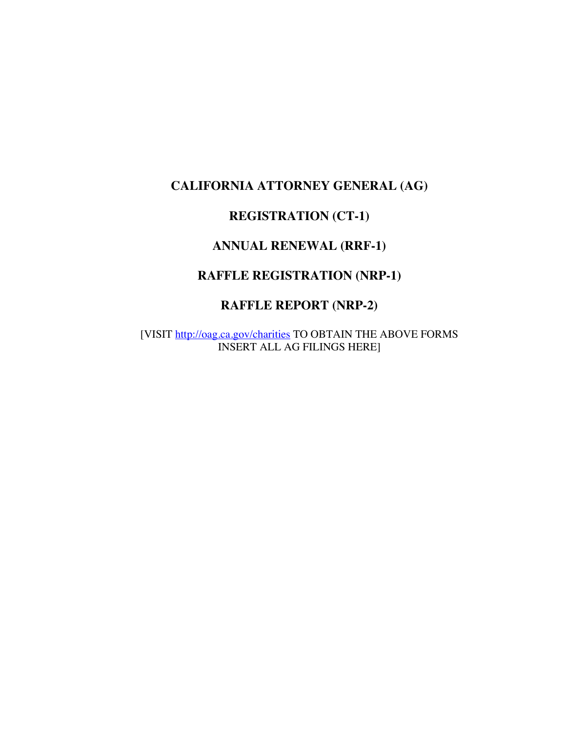# **CALIFORNIA ATTORNEY GENERAL (AG)**

#### **REGISTRATION (CT-1)**

#### **ANNUAL RENEWAL (RRF-1)**

#### **RAFFLE REGISTRATION (NRP-1)**

#### **RAFFLE REPORT (NRP-2)**

[VISIT http://oag.ca.gov/charities TO OBTAIN THE ABOVE FORMS INSERT ALL AG FILINGS HERE]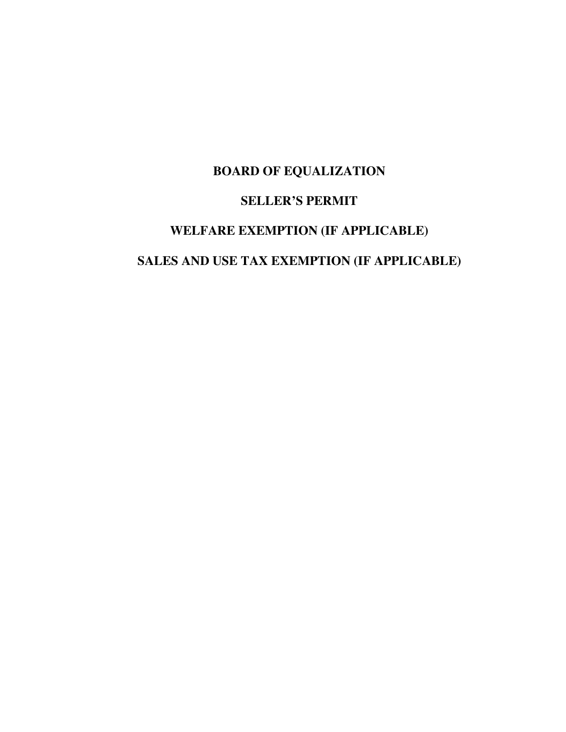# **BOARD OF EQUALIZATION**

# **SELLER'S PERMIT**

# **WELFARE EXEMPTION (IF APPLICABLE)**

#### **SALES AND USE TAX EXEMPTION (IF APPLICABLE)**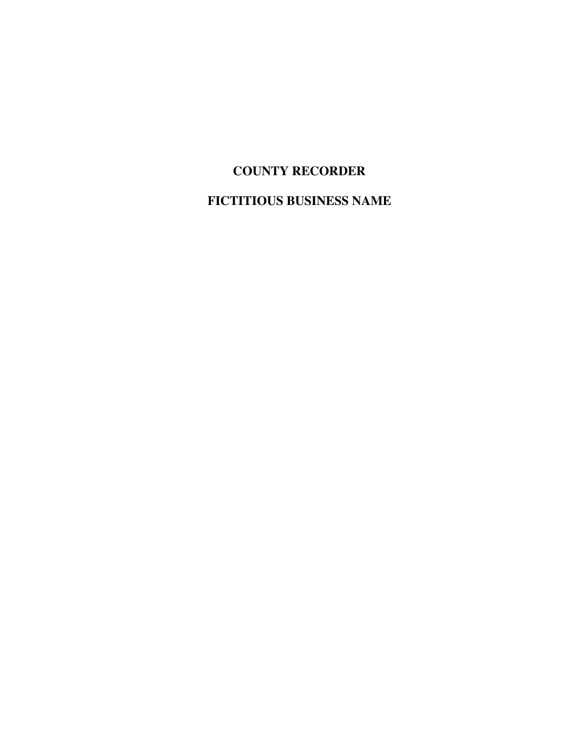# **COUNTY RECORDER**

**FICTITIOUS BUSINESS NAME**